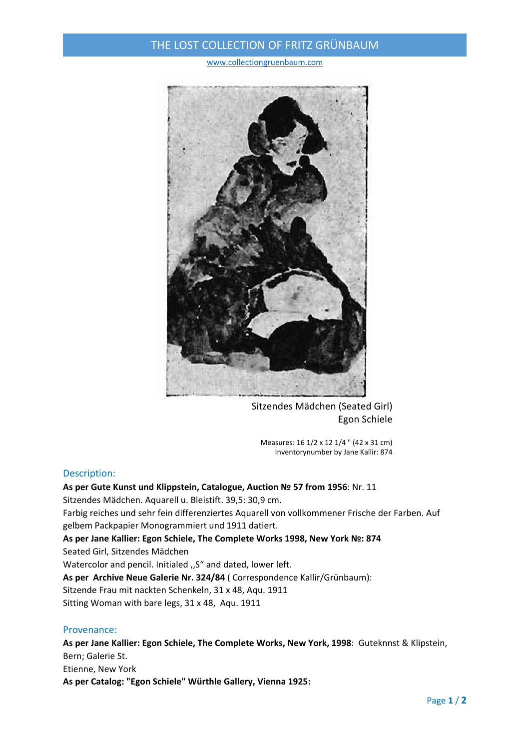## THE LOST COLLECTION OF FRITZ GRÜNBAUM

www.collectiongruenbaum.com



Sitzendes Mädchen (Seated Girl) Egon Schiele

Measures: 16 1/2 x 12 1/4 " (42 x 31 cm) Inventorynumber by Jane Kallir: 874

### Description:

**As per Gute Kunst und Klippstein, Catalogue, Auction № 57 from 1956**: Nr. 11 Sitzendes Mädchen. Aquarell u. Bleistift. 39,5: 30,9 cm. Farbig reiches und sehr fein differenziertes Aquarell von vollkommener Frische der Farben. Auf gelbem Packpapier Monogrammiert und 1911 datiert. **As per Jane Kallier: Egon Schiele, The Complete Works 1998, New York №: 874**  Seated Girl, Sitzendes Mädchen Watercolor and pencil. Initialed "S" and dated, lower left. **As per Archive Neue Galerie Nr. 324/84** ( Correspondence Kallir/Grünbaum): Sitzende Frau mit nackten Schenkeln, 31 x 48, Aqu. 1911 Sitting Woman with bare legs, 31 x 48, Aqu. 1911

### Provenance:

**As per Jane Kallier: Egon Schiele, The Complete Works, New York, 1998**: Guteknnst & Klipstein, Bern; Galerie St. Etienne, New York **As per Catalog: "Egon Schiele" Würthle Gallery, Vienna 1925:**